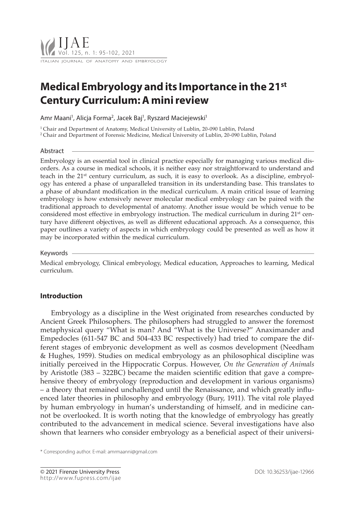# **Medical Embryology and its Importance in the 21st Century Curriculum: A mini review**

Amr Maani<sup>1</sup>, Alicja Forma<sup>2</sup>, Jacek Baj<sup>1</sup>, Ryszard Maciejewski<sup>1</sup>

1 Chair and Department of Anatomy, Medical University of Lublin, 20-090 Lublin, Poland 2 Chair and Department of Forensic Medicine, Medical University of Lublin, 20-090 Lublin, Poland

### Abstract

Embryology is an essential tool in clinical practice especially for managing various medical disorders. As a course in medical schools, it is neither easy nor straightforward to understand and teach in the 21st century curriculum, as such, it is easy to overlook. As a discipline, embryology has entered a phase of unparalleled transition in its understanding base. This translates to a phase of abundant modification in the medical curriculum. A main critical issue of learning embryology is how extensively newer molecular medical embryology can be paired with the traditional approach to developmental of anatomy. Another issue would be which venue to be considered most effective in embryology instruction. The medical curriculum in during  $21<sup>st</sup>$  century have different objectives, as well as different educational approach. As a consequence, this paper outlines a variety of aspects in which embryology could be presented as well as how it may be incorporated within the medical curriculum.

#### Keywords

Medical embryology, Clinical embryology, Medical education, Approaches to learning, Medical curriculum.

## **Introduction**

Embryology as a discipline in the West originated from researches conducted by Ancient Greek Philosophers. The philosophers had struggled to answer the foremost metaphysical query "What is man? And "What is the Universe?" Anaximander and Empedocles (611-547 BC and 504-433 BC respectively) had tried to compare the different stages of embryonic development as well as cosmos development (Needham & Hughes, 1959). Studies on medical embryology as an philosophical discipline was initially perceived in the Hippocratic Corpus. However, *On the Generation of Animals*  by Aristotle (383 – 322BC) became the maiden scientific edition that gave a comprehensive theory of embryology (reproduction and development in various organisms) – a theory that remained unchallenged until the Renaissance, and which greatly influenced later theories in philosophy and embryology (Bury, 1911). The vital role played by human embryology in human's understanding of himself, and in medicine cannot be overlooked. It is worth noting that the knowledge of embryology has greatly contributed to the advancement in medical science. Several investigations have also shown that learners who consider embryology as a beneficial aspect of their universi-

\* Corresponding author. E-mail: amrmaanni@gmail.com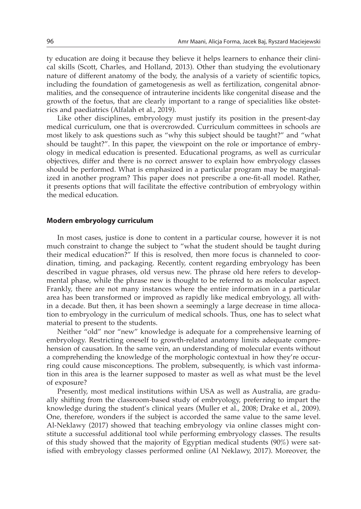ty education are doing it because they believe it helps learners to enhance their clinical skills (Scott, Charles, and Holland, 2013). Other than studying the evolutionary nature of different anatomy of the body, the analysis of a variety of scientific topics, including the foundation of gametogenesis as well as fertilization, congenital abnormalities, and the consequence of intrauterine incidents like congenital disease and the growth of the foetus, that are clearly important to a range of specialities like obstetrics and paediatrics (Alfalah et al., 2019).

Like other disciplines, embryology must justify its position in the present-day medical curriculum, one that is overcrowded. Curriculum committees in schools are most likely to ask questions such as "why this subject should be taught?" and "what should be taught?". In this paper, the viewpoint on the role or importance of embryology in medical education is presented. Educational programs, as well as curricular objectives, differ and there is no correct answer to explain how embryology classes should be performed. What is emphasized in a particular program may be marginalized in another program? This paper does not prescribe a one-fit-all model. Rather, it presents options that will facilitate the effective contribution of embryology within the medical education.

## **Modern embryology curriculum**

In most cases, justice is done to content in a particular course, however it is not much constraint to change the subject to "what the student should be taught during their medical education?" If this is resolved, then more focus is channeled to coordination, timing, and packaging. Recently, content regarding embryology has been described in vague phrases, old versus new. The phrase old here refers to developmental phase, while the phrase new is thought to be referred to as molecular aspect. Frankly, there are not many instances where the entire information in a particular area has been transformed or improved as rapidly like medical embryology, all within a decade. But then, it has been shown a seemingly a large decrease in time allocation to embryology in the curriculum of medical schools. Thus, one has to select what material to present to the students.

Neither "old" nor "new" knowledge is adequate for a comprehensive learning of embryology. Restricting oneself to growth-related anatomy limits adequate comprehension of causation. In the same vein, an understanding of molecular events without a comprehending the knowledge of the morphologic contextual in how they're occurring could cause misconceptions. The problem, subsequently, is which vast information in this area is the learner supposed to master as well as what must be the level of exposure?

Presently, most medical institutions within USA as well as Australia, are gradually shifting from the classroom-based study of embryology, preferring to impart the knowledge during the student's clinical years (Muller et al., 2008; Drake et al., 2009). One, therefore, wonders if the subject is accorded the same value to the same level. Al-Neklawy (2017) showed that teaching embryology via online classes might constitute a successful additional tool while performing embryology classes. The results of this study showed that the majority of Egyptian medical students (90%) were satisfied with embryology classes performed online (Al Neklawy, 2017). Moreover, the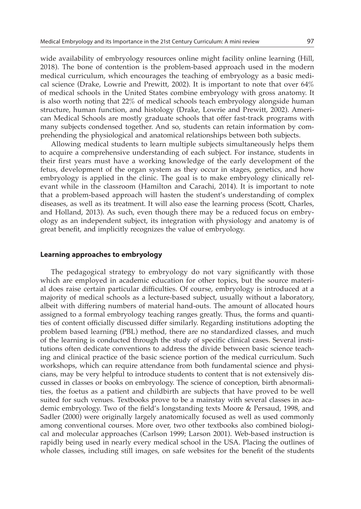wide availability of embryology resources online might facility online learning (Hill, 2018). The bone of contention is the problem-based approach used in the modern medical curriculum, which encourages the teaching of embryology as a basic medical science (Drake, Lowrie and Prewitt, 2002). It is important to note that over 64% of medical schools in the United States combine embryology with gross anatomy. It is also worth noting that 22% of medical schools teach embryology alongside human structure, human function, and histology (Drake, Lowrie and Prewitt, 2002). American Medical Schools are mostly graduate schools that offer fast-track programs with many subjects condensed together. And so, students can retain information by comprehending the physiological and anatomical relationships between both subjects.

Allowing medical students to learn multiple subjects simultaneously helps them to acquire a comprehensive understanding of each subject. For instance, students in their first years must have a working knowledge of the early development of the fetus, development of the organ system as they occur in stages, genetics, and how embryology is applied in the clinic. The goal is to make embryology clinically relevant while in the classroom (Hamilton and Carachi, 2014). It is important to note that a problem-based approach will hasten the student's understanding of complex diseases, as well as its treatment. It will also ease the learning process (Scott, Charles, and Holland, 2013). As such, even though there may be a reduced focus on embryology as an independent subject, its integration with physiology and anatomy is of great benefit, and implicitly recognizes the value of embryology.

#### **Learning approaches to embryology**

The pedagogical strategy to embryology do not vary significantly with those which are employed in academic education for other topics, but the source material does raise certain particular difficulties. Of course, embryology is introduced at a majority of medical schools as a lecture-based subject, usually without a laboratory, albeit with differing numbers of material hand-outs. The amount of allocated hours assigned to a formal embryology teaching ranges greatly. Thus, the forms and quantities of content officially discussed differ similarly. Regarding institutions adopting the problem based learning (PBL) method, there are no standardized classes, and much of the learning is conducted through the study of specific clinical cases. Several institutions often dedicate conventions to address the divide between basic science teaching and clinical practice of the basic science portion of the medical curriculum. Such workshops, which can require attendance from both fundamental science and physicians, may be very helpful to introduce students to content that is not extensively discussed in classes or books on embryology. The science of conception, birth abnormalities, the foetus as a patient and childbirth are subjects that have proved to be well suited for such venues. Textbooks prove to be a mainstay with several classes in academic embryology. Two of the field's longstanding texts Moore & Persaud, 1998, and Sadler (2000) were originally largely anatomically focused as well as used commonly among conventional courses. More over, two other textbooks also combined biological and molecular approaches (Carlson 1999; Larson 2001). Web-based instruction is rapidly being used in nearly every medical school in the USA. Placing the outlines of whole classes, including still images, on safe websites for the benefit of the students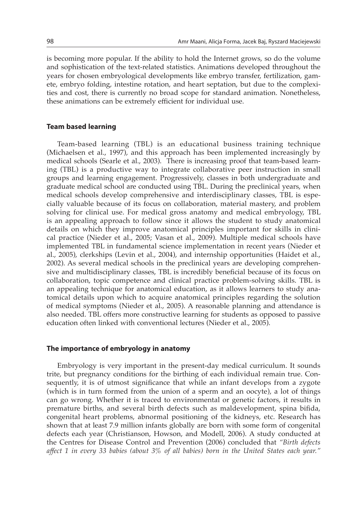is becoming more popular. If the ability to hold the Internet grows, so do the volume and sophistication of the text-related statistics. Animations developed throughout the years for chosen embryological developments like embryo transfer, fertilization, gamete, embryo folding, intestine rotation, and heart septation, but due to the complexities and cost, there is currently no broad scope for standard animation. Nonetheless, these animations can be extremely efficient for individual use.

#### **Team based learning**

Team-based learning (TBL) is an educational business training technique (Michaelsen et al., 1997), and this approach has been implemented increasingly by medical schools (Searle et al., 2003). There is increasing proof that team-based learning (TBL) is a productive way to integrate collaborative peer instruction in small groups and learning engagement. Progressively, classes in both undergraduate and graduate medical school are conducted using TBL. During the preclinical years, when medical schools develop comprehensive and interdisciplinary classes, TBL is especially valuable because of its focus on collaboration, material mastery, and problem solving for clinical use. For medical gross anatomy and medical embryology, TBL is an appealing approach to follow since it allows the student to study anatomical details on which they improve anatomical principles important for skills in clinical practice (Nieder et al., 2005; Vasan et al., 2009). Multiple medical schools have implemented TBL in fundamental science implementation in recent years (Nieder et al., 2005), clerkships (Levin et al., 2004), and internship opportunities (Haidet et al., 2002). As several medical schools in the preclinical years are developing comprehensive and multidisciplinary classes, TBL is incredibly beneficial because of its focus on collaboration, topic competence and clinical practice problem-solving skills. TBL is an appealing technique for anatomical education, as it allows learners to study anatomical details upon which to acquire anatomical principles regarding the solution of medical symptoms (Nieder et al., 2005). A reasonable planning and attendance is also needed. TBL offers more constructive learning for students as opposed to passive education often linked with conventional lectures (Nieder et al., 2005).

## **The importance of embryology in anatomy**

Embryology is very important in the present-day medical curriculum. It sounds trite, but pregnancy conditions for the birthing of each individual remain true. Consequently, it is of utmost significance that while an infant develops from a zygote (which is in turn formed from the union of a sperm and an oocyte), a lot of things can go wrong. Whether it is traced to environmental or genetic factors, it results in premature births, and several birth defects such as maldevelopment, spina bifida, congenital heart problems, abnormal positioning of the kidneys, etc. Research has shown that at least 7.9 million infants globally are born with some form of congenital defects each year (Christianson, Howson, and Modell, 2006). A study conducted at the Centres for Disease Control and Prevention (2006) concluded that *"Birth defects affect 1 in every 33 babies (about 3% of all babies) born in the United States each year."*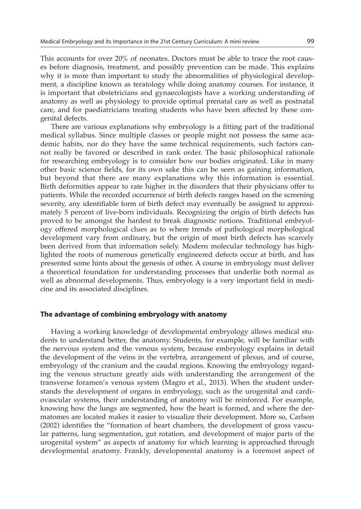This accounts for over 20% of neonates. Doctors must be able to trace the root causes before diagnosis, treatment, and possibly prevention can be made. This explains why it is more than important to study the abnormalities of physiological development, a discipline known as teratology while doing anatomy courses. For instance, it is important that obstetricians and gynaecologists have a working understanding of anatomy as well as physiology to provide optimal prenatal care as well as postnatal care, and for paediatricians treating students who have been affected by these congenital defects.

There are various explanations why embryology is a fitting part of the traditional medical syllabus. Since multiple classes or people might not possess the same academic habits, nor do they have the same technical requirements, such factors cannot really be favored or described in rank order. The basic philosophical rationale for researching embryology is to consider how our bodies originated. Like in many other basic science fields, for its own sake this can be seen as gaining information, but beyond that there are many explanations why this information is essential. Birth deformities appear to rate higher in the disorders that their physicians offer to patients. While the recorded occurrence of birth defects ranges based on the screening severity, any identifiable form of birth defect may eventually be assigned to approximately 5 percent of live-born individuals. Recognizing the origin of birth defects has proved to be amongst the hardest to break diagnostic notions. Traditional embryology offered morphological clues as to where trends of pathological morphological development vary from ordinary, but the origin of most birth defects has scarcely been derived from that information solely. Modern molecular technology has highlighted the roots of numerous genetically engineered defects occur at birth, and has presented some hints about the genesis of other. A course in embryology must deliver a theoretical foundation for understanding processes that underlie both normal as well as abnormal developments. Thus, embryology is a very important field in medicine and its associated disciplines.

#### **The advantage of combining embryology with anatomy**

Having a working knowledge of developmental embryology allows medical students to understand better, the anatomy. Students, for example, will be familiar with the nervous system and the venous system, because embryology explains in detail the development of the veins in the vertebra, arrangement of plexus, and of course, embryology of the cranium and the caudal regions. Knowing the embryology regarding the venous structure greatly aids with understanding the arrangement of the transverse foramen's venous system (Magro et al., 2013). When the student understands the development of organs in embryology, such as the urogenital and cardiovascular systems, their understanding of anatomy will be reinforced. For example, knowing how the lungs are segmented, how the heart is formed, and where the dermatomes are located makes it easier to visualize their development. More so, Carlson (2002) identifies the "formation of heart chambers, the development of gross vascular patterns, lung segmentation, gut rotation, and development of major parts of the urogenital system" as aspects of anatomy for which learning is approached through developmental anatomy. Frankly, developmental anatomy is a foremost aspect of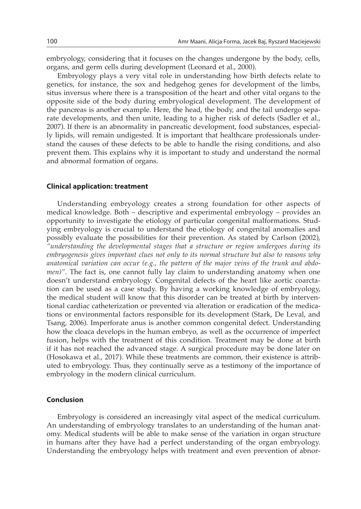embryology, considering that it focuses on the changes undergone by the body, cells, organs, and germ cells during development (Leonard et al., 2000).

Embryology plays a very vital role in understanding how birth defects relate to genetics, for instance, the sox and hedgehog genes for development of the limbs, situs inversus where there is a transposition of the heart and other vital organs to the opposite side of the body during embryological development. The development of the pancreas is another example. Here, the head, the body, and the tail undergo separate developments, and then unite, leading to a higher risk of defects (Sadler et al., 2007). If there is an abnormality in pancreatic development, food substances, especially lipids, will remain undigested. It is important that healthcare professionals understand the causes of these defects to be able to handle the rising conditions, and also prevent them. This explains why it is important to study and understand the normal and abnormal formation of organs.

#### **Clinical application: treatment**

Understanding embryology creates a strong foundation for other aspects of medical knowledge. Both – descriptive and experimental embryology – provides an opportunity to investigate the etiology of particular congenital malformations. Studying embryology is crucial to understand the etiology of congenital anomalies and possibly evaluate the possibilities for their prevention. As stated by Carlson (2002), *"understanding the developmental stages that a structure or region undergoes during its embryogenesis gives important clues not only to its normal structure but also to reasons why anatomical variation can occur (e.g., the pattern of the major veins of the trunk and abdomen)"*. The fact is, one cannot fully lay claim to understanding anatomy when one doesn't understand embryology. Congenital defects of the heart like aortic coarctation can be used as a case study. By having a working knowledge of embryology, the medical student will know that this disorder can be treated at birth by interventional cardiac catheterization or prevented via alteration or eradication of the medications or environmental factors responsible for its development (Stark, De Leval, and Tsang, 2006). Imperforate anus is another common congenital defect. Understanding how the cloaca develops in the human embryo, as well as the occurrence of imperfect fusion, helps with the treatment of this condition. Treatment may be done at birth if it has not reached the advanced stage. A surgical procedure may be done later on (Hosokawa et al., 2017). While these treatments are common, their existence is attributed to embryology. Thus, they continually serve as a testimony of the importance of embryology in the modern clinical curriculum.

## **Conclusion**

Embryology is considered an increasingly vital aspect of the medical curriculum. An understanding of embryology translates to an understanding of the human anatomy. Medical students will be able to make sense of the variation in organ structure in humans after they have had a perfect understanding of the organ embryology. Understanding the embryology helps with treatment and even prevention of abnor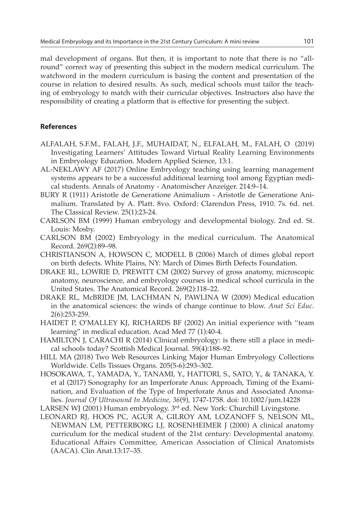mal development of organs. But then, it is important to note that there is no "allround" correct way of presenting this subject in the modern medical curriculum. The watchword in the modern curriculum is basing the content and presentation of the course in relation to desired results. As such, medical schools must tailor the teaching of embryology to match with their curricular objectives. Instructors also have the responsibility of creating a platform that is effective for presenting the subject.

# **References**

- ALFALAH, S.F.M., FALAH, J.F., MUHAIDAT, N., ELFALAH, M., FALAH, O (2019) Investigating Learners' Attitudes Toward Virtual Reality Learning Environments in Embryology Education. Modern Applied Science, 13:1.
- AL-NEKLAWY AF (2017) Online Embryology teaching using learning management systems appears to be a successful additional learning tool among Egyptian medical students. Annals of Anatomy - Anatomischer Anzeiger. 214:9–14.
- BURY R (1911) Aristotle de Generatione Animalium Aristotle de Generatione Animalium. Translated by A. Platt. 8vo. Oxford: Clarendon Press, 1910. 7s. 6d. net. The Classical Review. 25(1):23-24.
- CARLSON BM (1999) Human embryology and developmental biology. 2nd ed. St. Louis: Mosby.
- CARLSON BM (2002) Embryology in the medical curriculum. The Anatomical Record. 269(2):89–98.
- CHRISTIANSON A, HOWSON C, MODELL B (2006) March of dimes global report on birth defects. White Plains, NY: March of Dimes Birth Defects Foundation.
- DRAKE RL, LOWRIE D, PREWITT CM (2002) Survey of gross anatomy, microscopic anatomy, neuroscience, and embryology courses in medical school curricula in the United States. The Anatomical Record. 269(2):118–22.
- DRAKE RL, McBRIDE JM, LACHMAN N, PAWLINA W (2009) Medical education in the anatomical sciences: the winds of change continue to blow. *Anat Sci Educ*. 2(6):253-259.
- HAIDET P, O'MALLEY KJ, RICHARDS BF (2002) An initial experience with ''team learning" in medical education. Acad Med 77 (1):40-4.
- HAMILTON J, CARACHI R (2014) Clinical embryology: is there still a place in medical schools today? Scottish Medical Journal. 59(4):188–92.
- HILL MA (2018) Two Web Resources Linking Major Human Embryology Collections Worldwide. Cells Tissues Organs. 205(5-6):293–302.
- HOSOKAWA, T., YAMADA, Y., TANAMI, Y., HATTORI, S., SATO, Y., & TANAKA, Y. et al (2017) Sonography for an Imperforate Anus: Approach, Timing of the Examination, and Evaluation of the Type of Imperforate Anus and Associated Anomalies. *Journal Of Ultrasound In Medicine*, *36*(9), 1747-1758. doi: 10.1002/jum.14228
- LARSEN WJ (2001) Human embryology. 3rd ed. New York: Churchill Livingstone.
- LEONARD RJ, HOOS PC, AGUR A, GILROY AM, LOZANOFF S, NELSON ML, NEWMAN LM, PETTERBORG LJ, ROSENHEIMER J (2000) A clinical anatomy curriculum for the medical student of the 21st century: Developmental anatomy. Educational Affairs Committee, American Association of Clinical Anatomists (AACA). Clin Anat.13:17–35.